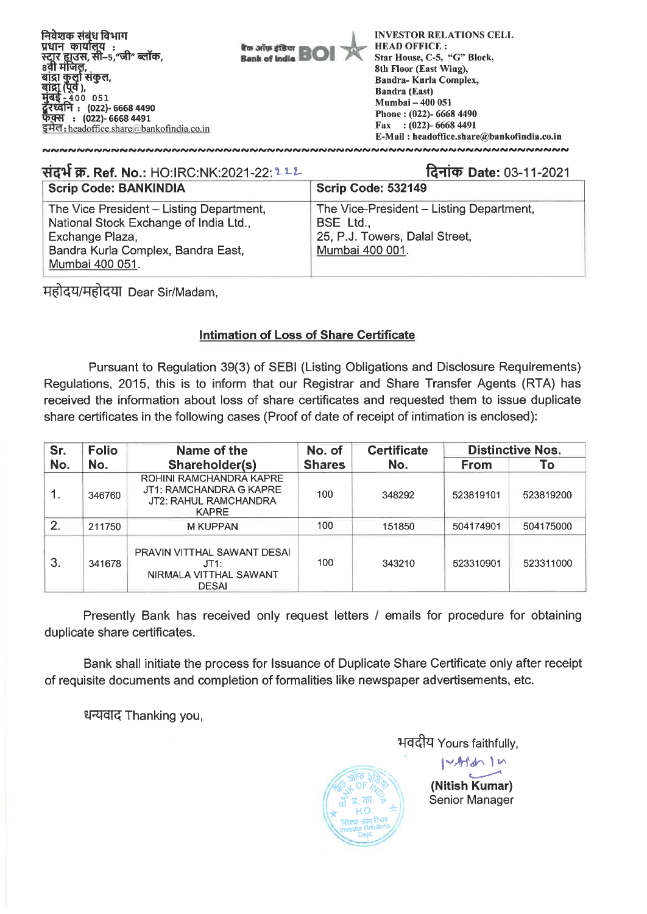

| संदर्भ क्र. Ref. No.: HO:IRC:NK:2021-22: 222                                                                                                                   | दिनांक Date: 03-11-2021                                                                                    |
|----------------------------------------------------------------------------------------------------------------------------------------------------------------|------------------------------------------------------------------------------------------------------------|
| <b>Scrip Code: BANKINDIA</b>                                                                                                                                   | Scrip Code: 532149                                                                                         |
| The Vice President - Listing Department,<br>National Stock Exchange of India Ltd.,<br>Exchange Plaza,<br>Bandra Kurla Complex, Bandra East,<br>Mumbai 400 051. | The Vice-President - Listing Department,<br>BSE Ltd.,<br>25, P.J. Towers, Dalal Street,<br>Mumbai 400 001. |

महोदय/महोदया Dear Sir/Madam,

## **Intimation of Loss of Share Certificate**

Pursuant to Regulation 39(3) of SEBI (Listing Obligations and Disclosure Requirements) Regulations, 2015, this is to inform that our Registrar and Share Transfer Agents (RTA) has received the information about loss of share certificates and requested them to issue duplicate share certificates in the following cases (Proof of date of receipt of intimation is enclosed):

| Sr. | <b>Folio</b> | Name of the                                                                                        | No. of        | <b>Certificate</b> | <b>Distinctive Nos.</b> |           |  |
|-----|--------------|----------------------------------------------------------------------------------------------------|---------------|--------------------|-------------------------|-----------|--|
| No. | No.          | Shareholder(s)                                                                                     | <b>Shares</b> | No.                | From                    | To        |  |
| 1.  | 346760       | <b>ROHINI RAMCHANDRA KAPRE</b><br>JT1: RAMCHANDRA G KAPRE<br>JT2: RAHUL RAMCHANDRA<br><b>KAPRE</b> | 100           | 348292             | 523819101               | 523819200 |  |
| 2.  | 211750       | <b>M KUPPAN</b>                                                                                    | 100           | 151850             | 504174901               | 504175000 |  |
| 3.  | 341678       | PRAVIN VITTHAL SAWANT DESAI<br>JT1:<br>NIRMALA VITTHAL SAWANT<br><b>DESAI</b>                      | 100           | 343210             | 523310901               | 523311000 |  |

Presently Bank has received only request letters / emails for procedure for obtaining duplicate share certificates.

Bank shall initiate the process for Issuance of Duplicate Share Certificate only after receipt of requisite documents and completion of formalities like newspaper advertisements, etc.

धन्यवाद Thanking you,

भवदीय Yours faithfully,



**(Nitish Kumar)**  Senior Manager

**riArtdif\ 1 I^**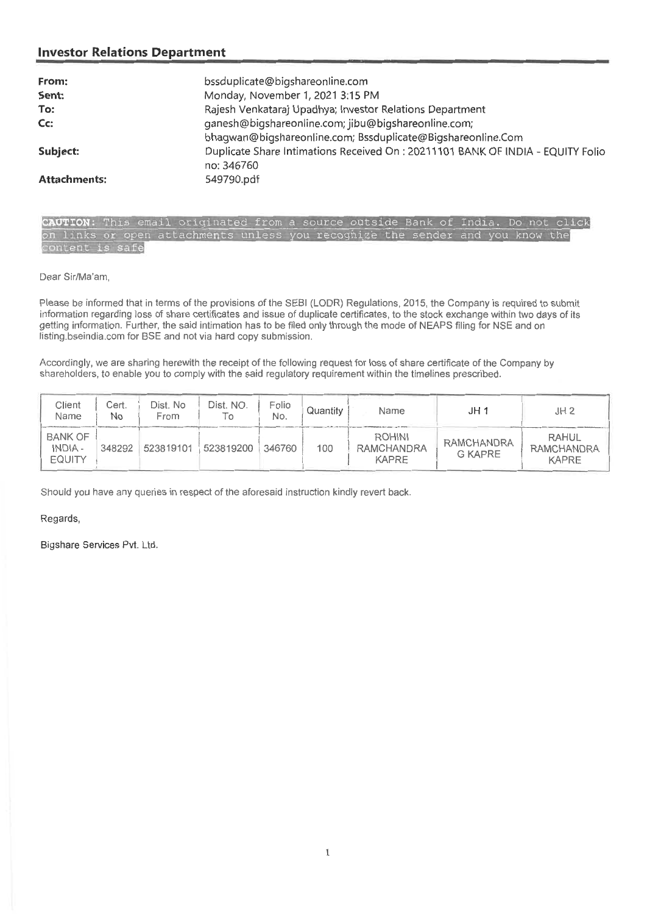## **Investor Relations Department**

| From:               | bssduplicate@bigshareonline.com                                                 |
|---------------------|---------------------------------------------------------------------------------|
| Sent:               | Monday, November 1, 2021 3:15 PM                                                |
| To:                 | Rajesh Venkataraj Upadhya; Investor Relations Department                        |
| Cc:                 | ganesh@bigshareonline.com; jibu@bigshareonline.com;                             |
|                     | bhagwan@bigshareonline.com; Bssduplicate@Bigshareonline.Com                     |
| Subject:            | Duplicate Share Intimations Received On : 20211101 BANK OF INDIA - EQUITY Folio |
|                     | no: 346760                                                                      |
| <b>Attachments:</b> | 549790.pdf                                                                      |

CAUTION: This email originated from a source outside Bank of India. Do not click on links or open attachments unless you recognize the sender and you know the content is safe

Dear Sir/Ma'am,

Please be informed that in terms of the provisions of the SEBI (LODR) Regulations, 2015, the Company is required to submit information regarding loss of share certificates and issue of duplicate certificates, to the stock exchange within two days of its getting information. Further, the said intimation has to be filed only through the mode of NEAPS filing for NSE and on listing.bseindia.com for BSE and not via hard copy submission.

Accordingly, we are sharing herewith the receipt of the following request for loss of share certificate of the Company by shareholders, to enable you to comply with the said regulatory requirement within the timelines prescribed.

| Client<br>Name                             | Cert.<br>No | Dist. No<br>From | Dist. NO. | Folio<br>No. | Quantity | Name                                               | JH 1                         | JH2                                               |
|--------------------------------------------|-------------|------------------|-----------|--------------|----------|----------------------------------------------------|------------------------------|---------------------------------------------------|
| <b>BANK OF</b><br>INDIA -<br><b>EQUITY</b> | 348292      | 523819101        | 523819200 | 346760       | 100      | <b>ROHINI</b><br><b>RAMCHANDRA</b><br><b>KAPRE</b> | RAMCHANDRA<br><b>G KAPRE</b> | <b>RAHUL</b><br><b>RAMCHANDRA</b><br><b>KAPRE</b> |

Should you have any queries in respect of the aforesaid instruction kindly revert back.

Regards,

Bigshare Services Pvt. Ltd.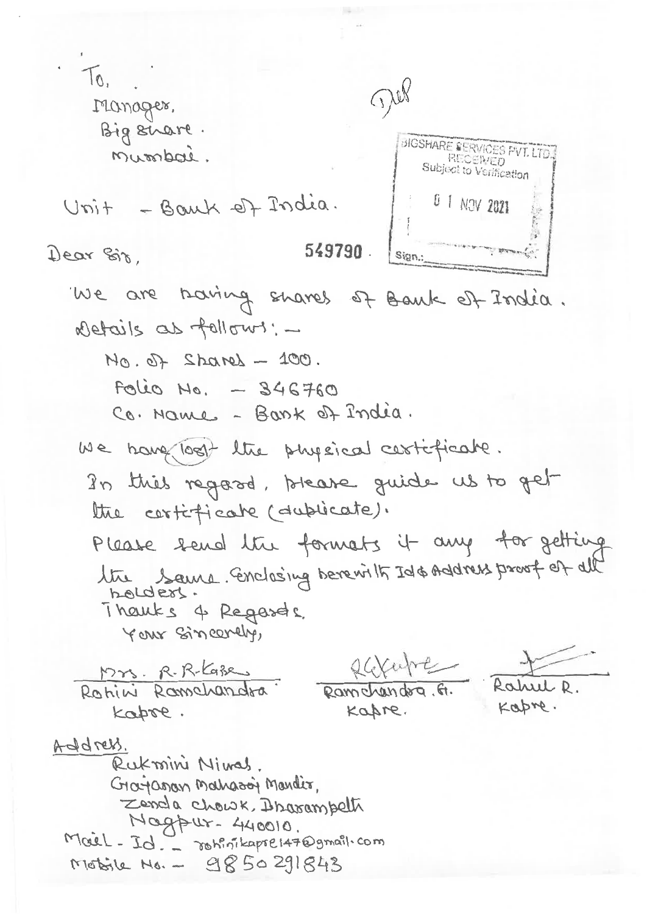$T_{0}$ Till Manager, Big share. BIGSHARE SERVICES PVT. LTD.<br>RECERVED<br>Subject to Verification Musspai. 0 1 NOV 2021 Unit - Bank of India. 549790. Dear Sir. Sign.: We are baring shares of Bank of India. Details as follows: - $100.07$  - Lenanes fo.  $Folic No. - 346760$ Co. Name - Bank of India. we have lost the physical certificate. In this regard, brease quide us to get the certificate (dublicate). Please send the formats it any for getting the Same Gonclosing berevilly Id&Address proof of all Thanks 4 Regards. YOUR Sincerely, saxabe Mrs. R.R. Kazes Rohini Ramchandra. Rahut R. Ramchandra, G. Kapre. Kapre. kapse. Address. Rukmini Nimas. Grayanan Mahazon Mandis, Zenda Chowk, Brazampeth Magpur- 440010. Mail-Id. - rohinikapre147@gmail.com Mobile No. - 9850291843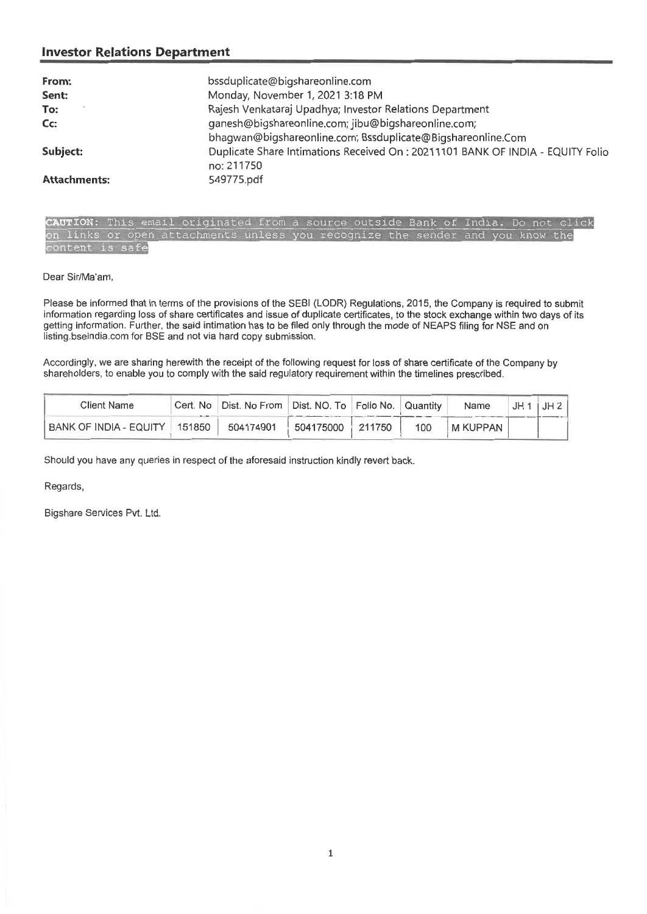## **Investor Relations Department**

| From:               | bssduplicate@bigshareonline.com                                                |
|---------------------|--------------------------------------------------------------------------------|
| Sent:               | Monday, November 1, 2021 3:18 PM                                               |
| To:                 | Rajesh Venkataraj Upadhya; Investor Relations Department                       |
| Cc:                 | ganesh@bigshareonline.com; jibu@bigshareonline.com;                            |
|                     | bhagwan@bigshareonline.com; Bssduplicate@Bigshareonline.Com                    |
| Subject:            | Duplicate Share Intimations Received On: 20211101 BANK OF INDIA - EQUITY Folio |
|                     | no: 211750                                                                     |
| <b>Attachments:</b> | 549775.pdf                                                                     |

CAUTION: email originated from a source outside Bank of India. Do not click on links or open attachments unless you recognize the sender and you know the<br>content is safe

Dear Sir/Ma'am,

Please be informed that in terms of the provisions of the SEBI (LODR) Regulations, 2015, the Company is required to submit information regarding loss of share certificates and issue of duplicate certificates, to the stock exchange within two days of its getting information. Further, the said intimation has to be filed only through the mode of NEAPS filing for NSE and on listing.bseindia.com for BSE and not via hard copy submission.

Accordingly, we are sharing herewith the receipt of the following request for loss of share certificate of the Company by shareholders, to enable you to comply with the said regulatory requirement within the timelines prescribed.

| <b>Client Name</b>              | -- | Cert. No   Dist. No From   Dist. NO. To   Folio No.   Quantity |                  |     | Name     | $JH1$ $JH2$ |
|---------------------------------|----|----------------------------------------------------------------|------------------|-----|----------|-------------|
| BANK OF INDIA - EQUITY   151850 |    | 504174901                                                      | 504175000 211750 | 100 | M KUPPAN |             |

Should you have any queries in respect of the aforesaid instruction kindly revert back.

Regards,

Bigshare Services Pvt. Ltd.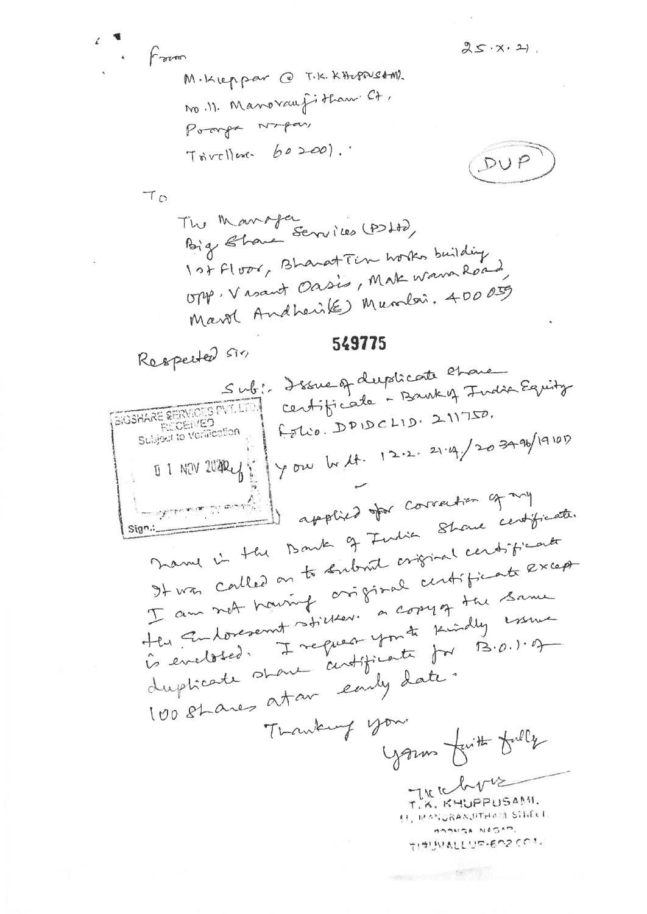$f$  aver

M.Kleppar @ T.K.KHapPustM) no. 11. Manovauf it than Ct. Poorf Noper, Tourlless 60200).

$$
\underbrace{\text{DUP}}
$$

 $25.7.2$ 

 $\tau_{\Omega}$ 

Respected Sin

549775

Sub: Issue of duplicate chance centificate - Bank of India Equity BIGSHARE RERVICES PVT. LTD. Folio. DPIDCLID. 211750. **REGENTED** Subject to Verification Jyou by 12.2.2.4/203496/19101 0 1 NOV 20224 1 applied for correction of my Marry 1's the Bowler of Fudia Showe certificate. It was called on to subout original centificant Sign. I am not houring oniginal centificate except Her Endorsemt stiller. a compt the Same is eveloped. I request you to seindly essue duplicate start antificate for B.O.1.9 100 stares atan early date. Tranking your yours further fully There T.K. KHUPPUSAMI. 11, MANURANJITHAIN STEECH BOSSGA NAGAD, 手順いれしい中点へ200%

which the third of the con-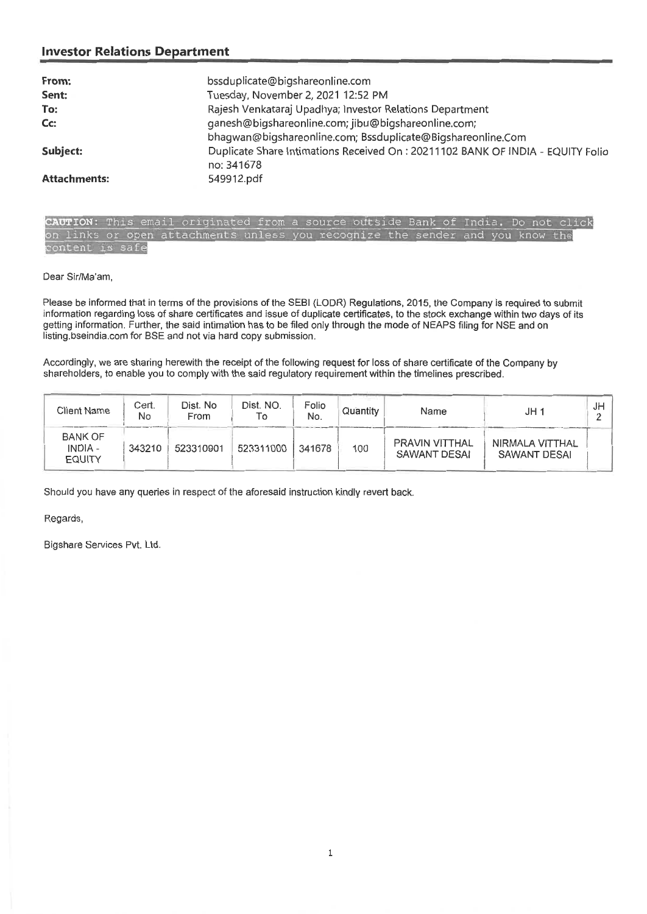## **Investor Relations Department**

| From:               | bssduplicate@bigshareonline.com                                                |
|---------------------|--------------------------------------------------------------------------------|
| Sent:               | Tuesday, November 2, 2021 12:52 PM                                             |
| To:                 | Rajesh Venkataraj Upadhya; Investor Relations Department                       |
| $Cc$ :              | ganesh@bigshareonline.com; jibu@bigshareonline.com;                            |
|                     | bhagwan@bigshareonline.com; Bssduplicate@Bigshareonline.Com                    |
| Subject:            | Duplicate Share Intimations Received On: 20211102 BANK OF INDIA - EQUITY Folio |
|                     | no: 341678                                                                     |
| <b>Attachments:</b> | 549912.pdf                                                                     |

CAUTION: This email originated from a source outside Bank of India. Do not click on links or open attachments unless you recognize the sender and you know the tent is safe

Dear Sir/Ma'am,

Please be informed that in terms of the provisions of the SEBI (LODR) Regulations, 2015, the Company is required to submit information regarding loss of share certificates and issue of duplicate certificates, to the stock exchange within two days of its getting information. Further, the said intimation has to be filed only through the mode of NEAPS filing for NSE and on listing.bseindia.com for BSE and not via hard copy submission.

Accordingly, we are sharing herewith the receipt of the following request for loss of share certificate of the Company by shareholders, to enable you to comply with the said regulatory requirement within the timelines prescribed.

| <b>Client Name</b>                                | Cert.<br>No | Dist. No<br>From | Dist. NO.<br>To | Folio<br>No. | Quantity | Name                                  | JH 1                                   | J۲ |
|---------------------------------------------------|-------------|------------------|-----------------|--------------|----------|---------------------------------------|----------------------------------------|----|
| <b>BANK OF</b><br><b>INDIA -</b><br><b>EQUITY</b> | 343210      | 523310901        | 523311000       | 341678       | 100      | <b>PRAVIN VITTHAL</b><br>SAWANT DESAI | NIRMALA VITTHAL<br><b>SAWANT DESAI</b> |    |

Should you have any queries in respect of the aforesaid instruction kindly revert back.

Regards,

Bigshare Services Pvt. Ltd.